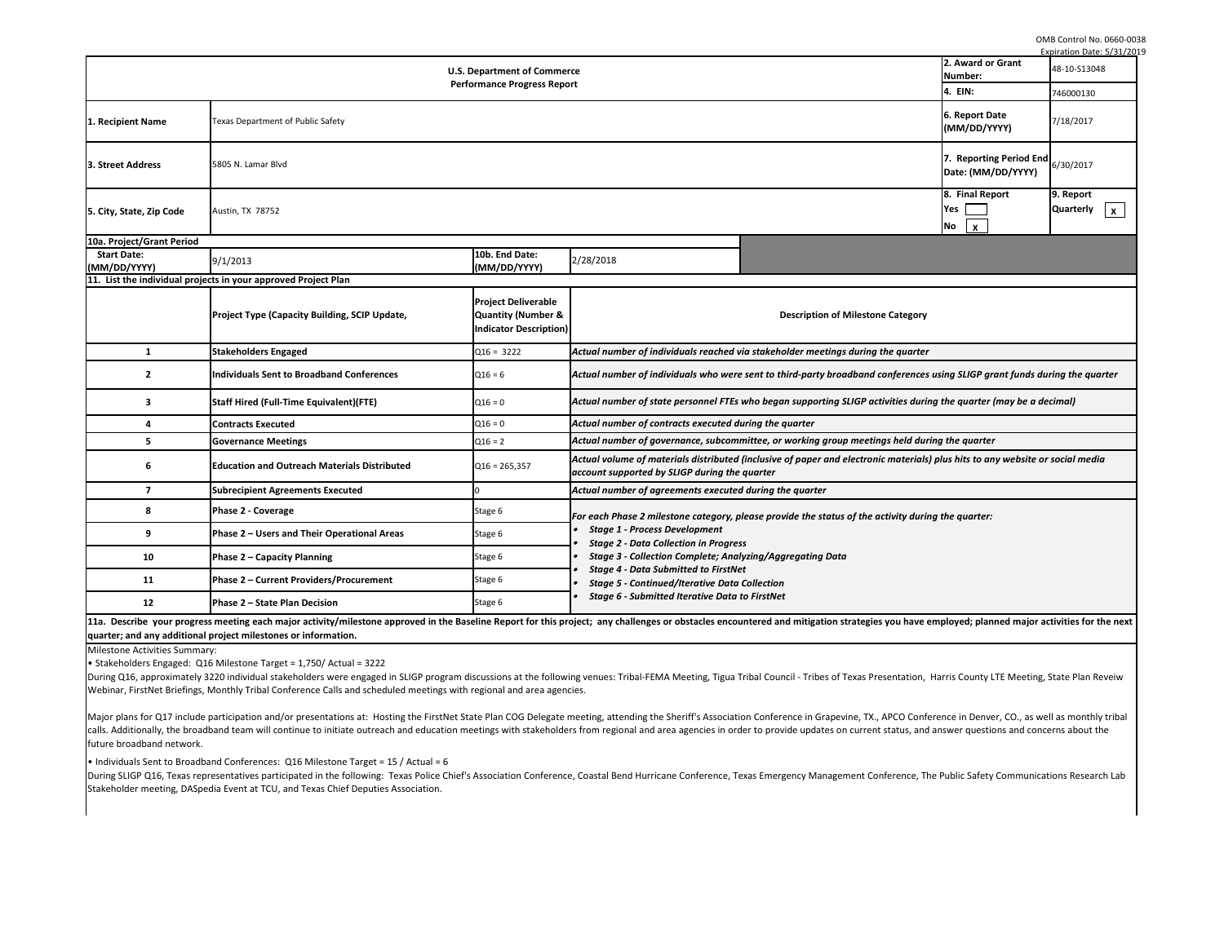OMB Control No. 0660-0038

|                                                                          |                                                                                                                                                                                                                                                                                                                                                                                                                                                                                                                                                                                                                                                                                                                                                                                                                                                                                                  |                                                                                      |                                                                                                                                                                                                         |                                                                                  |                                              | Expiration Date: 5/31/2019                 |  |  |
|--------------------------------------------------------------------------|--------------------------------------------------------------------------------------------------------------------------------------------------------------------------------------------------------------------------------------------------------------------------------------------------------------------------------------------------------------------------------------------------------------------------------------------------------------------------------------------------------------------------------------------------------------------------------------------------------------------------------------------------------------------------------------------------------------------------------------------------------------------------------------------------------------------------------------------------------------------------------------------------|--------------------------------------------------------------------------------------|---------------------------------------------------------------------------------------------------------------------------------------------------------------------------------------------------------|----------------------------------------------------------------------------------|----------------------------------------------|--------------------------------------------|--|--|
| <b>U.S. Department of Commerce</b><br><b>Performance Progress Report</b> |                                                                                                                                                                                                                                                                                                                                                                                                                                                                                                                                                                                                                                                                                                                                                                                                                                                                                                  |                                                                                      |                                                                                                                                                                                                         |                                                                                  | 2. Award or Grant<br>Number:                 | 48-10-S13048                               |  |  |
|                                                                          |                                                                                                                                                                                                                                                                                                                                                                                                                                                                                                                                                                                                                                                                                                                                                                                                                                                                                                  |                                                                                      |                                                                                                                                                                                                         |                                                                                  |                                              | 746000130                                  |  |  |
| 1. Recipient Name                                                        | Texas Department of Public Safety                                                                                                                                                                                                                                                                                                                                                                                                                                                                                                                                                                                                                                                                                                                                                                                                                                                                |                                                                                      |                                                                                                                                                                                                         |                                                                                  |                                              | 7/18/2017                                  |  |  |
| <b>3. Street Address</b>                                                 | 5805 N. Lamar Blvd<br>Date: (MM/DD/YYYY)                                                                                                                                                                                                                                                                                                                                                                                                                                                                                                                                                                                                                                                                                                                                                                                                                                                         |                                                                                      |                                                                                                                                                                                                         |                                                                                  |                                              | <b>7. Reporting Period End</b> $6/30/2017$ |  |  |
| 5. City, State, Zip Code                                                 | Austin, TX 78752                                                                                                                                                                                                                                                                                                                                                                                                                                                                                                                                                                                                                                                                                                                                                                                                                                                                                 |                                                                                      |                                                                                                                                                                                                         |                                                                                  | 8. Final Report<br>Yes<br>$\mathbf{x}$<br>No | 9. Report<br>Quarterly $\vert x \vert$     |  |  |
| 10a. Project/Grant Period                                                |                                                                                                                                                                                                                                                                                                                                                                                                                                                                                                                                                                                                                                                                                                                                                                                                                                                                                                  |                                                                                      |                                                                                                                                                                                                         |                                                                                  |                                              |                                            |  |  |
| <b>Start Date:</b><br>MM/DD/YYYY)                                        | 9/1/2013                                                                                                                                                                                                                                                                                                                                                                                                                                                                                                                                                                                                                                                                                                                                                                                                                                                                                         | 10b. End Date:<br>(MM/DD/YYYY)                                                       | 2/28/2018                                                                                                                                                                                               |                                                                                  |                                              |                                            |  |  |
|                                                                          | 11. List the individual projects in your approved Project Plan                                                                                                                                                                                                                                                                                                                                                                                                                                                                                                                                                                                                                                                                                                                                                                                                                                   |                                                                                      |                                                                                                                                                                                                         |                                                                                  |                                              |                                            |  |  |
|                                                                          | <b>Project Type (Capacity Building, SCIP Update,</b>                                                                                                                                                                                                                                                                                                                                                                                                                                                                                                                                                                                                                                                                                                                                                                                                                                             | <b>Project Deliverable</b><br><b>Quantity (Number &amp;</b><br>ndicator Description) |                                                                                                                                                                                                         | <b>Description of Milestone Category</b>                                         |                                              |                                            |  |  |
| 1                                                                        | <b>Stakeholders Engaged</b>                                                                                                                                                                                                                                                                                                                                                                                                                                                                                                                                                                                                                                                                                                                                                                                                                                                                      | $Q16 = 3222$                                                                         |                                                                                                                                                                                                         | Actual number of individuals reached via stakeholder meetings during the quarter |                                              |                                            |  |  |
| 2                                                                        | <b>Individuals Sent to Broadband Conferences</b>                                                                                                                                                                                                                                                                                                                                                                                                                                                                                                                                                                                                                                                                                                                                                                                                                                                 | $Q16 = 6$                                                                            | Actual number of individuals who were sent to third-party broadband conferences using SLIGP grant funds during the quarter                                                                              |                                                                                  |                                              |                                            |  |  |
| 3                                                                        | <b>Staff Hired (Full-Time Equivalent)(FTE)</b>                                                                                                                                                                                                                                                                                                                                                                                                                                                                                                                                                                                                                                                                                                                                                                                                                                                   | $Q16 = 0$                                                                            | Actual number of state personnel FTEs who began supporting SLIGP activities during the quarter (may be a decimal)                                                                                       |                                                                                  |                                              |                                            |  |  |
| 4                                                                        | <b>Contracts Executed</b>                                                                                                                                                                                                                                                                                                                                                                                                                                                                                                                                                                                                                                                                                                                                                                                                                                                                        | $Q16 = 0$                                                                            | Actual number of contracts executed during the quarter                                                                                                                                                  |                                                                                  |                                              |                                            |  |  |
| 5                                                                        | <b>Governance Meetings</b>                                                                                                                                                                                                                                                                                                                                                                                                                                                                                                                                                                                                                                                                                                                                                                                                                                                                       | $Q16 = 2$                                                                            | Actual number of governance, subcommittee, or working group meetings held during the quarter                                                                                                            |                                                                                  |                                              |                                            |  |  |
|                                                                          | <b>Education and Outreach Materials Distributed</b>                                                                                                                                                                                                                                                                                                                                                                                                                                                                                                                                                                                                                                                                                                                                                                                                                                              | $Q16 = 265,357$                                                                      | Actual volume of materials distributed (inclusive of paper and electronic materials) plus hits to any website or social media<br>account supported by SLIGP during the quarter                          |                                                                                  |                                              |                                            |  |  |
| $\overline{ }$                                                           | <b>Subrecipient Agreements Executed</b>                                                                                                                                                                                                                                                                                                                                                                                                                                                                                                                                                                                                                                                                                                                                                                                                                                                          |                                                                                      | Actual number of agreements executed during the quarter                                                                                                                                                 |                                                                                  |                                              |                                            |  |  |
| 8                                                                        | <b>Phase 2 - Coverage</b>                                                                                                                                                                                                                                                                                                                                                                                                                                                                                                                                                                                                                                                                                                                                                                                                                                                                        | Stage 6                                                                              | For each Phase 2 milestone category, please provide the status of the activity during the quarter:                                                                                                      |                                                                                  |                                              |                                            |  |  |
| 9                                                                        | Phase 2 – Users and Their Operational Areas                                                                                                                                                                                                                                                                                                                                                                                                                                                                                                                                                                                                                                                                                                                                                                                                                                                      | Stage 6                                                                              | <b>Stage 1 - Process Development</b><br><b>Stage 2 - Data Collection in Progress</b><br><b>Stage 3 - Collection Complete; Analyzing/Aggregating Data</b><br><b>Stage 4 - Data Submitted to FirstNet</b> |                                                                                  |                                              |                                            |  |  |
| 10                                                                       | Phase 2 - Capacity Planning                                                                                                                                                                                                                                                                                                                                                                                                                                                                                                                                                                                                                                                                                                                                                                                                                                                                      | Stage 6                                                                              |                                                                                                                                                                                                         |                                                                                  |                                              |                                            |  |  |
| <b>11</b>                                                                | Phase 2 - Current Providers/Procurement                                                                                                                                                                                                                                                                                                                                                                                                                                                                                                                                                                                                                                                                                                                                                                                                                                                          | Stage 6                                                                              | <b>Stage 5 - Continued/Iterative Data Collection</b>                                                                                                                                                    |                                                                                  |                                              |                                            |  |  |
| 12                                                                       | Phase 2 - State Plan Decision                                                                                                                                                                                                                                                                                                                                                                                                                                                                                                                                                                                                                                                                                                                                                                                                                                                                    | Stage 6                                                                              | <b>Stage 6 - Submitted Iterative Data to FirstNet</b>                                                                                                                                                   |                                                                                  |                                              |                                            |  |  |
|                                                                          | 11a. Describe your progress meeting each major activity/milestone approved in the Baseline Report for this project; any challenges or obstacles encountered and mitigation strategies you have employed; planned major activit<br>quarter; and any additional project milestones or information.                                                                                                                                                                                                                                                                                                                                                                                                                                                                                                                                                                                                 |                                                                                      |                                                                                                                                                                                                         |                                                                                  |                                              |                                            |  |  |
| Milestone Activities Summary:                                            | • Stakeholders Engaged: Q16 Milestone Target = 1,750/ Actual = 3222<br>During Q16, approximately 3220 individual stakeholders were engaged in SLIGP program discussions at the following venues: Tribal-FEMA Meeting, Tigua Tribal Council - Tribes of Texas Presentation, Harris County LTE Meeting,<br>Webinar, FirstNet Briefings, Monthly Tribal Conference Calls and scheduled meetings with regional and area agencies.<br>Major plans for Q17 include participation and/or presentations at: Hosting the FirstNet State Plan COG Delegate meeting, attending the Sheriff's Association Conference in Grapevine, TX., APCO Conference in Denver, CO., as<br>calls. Additionally, the broadband team will continue to initiate outreach and education meetings with stakeholders from regional and area agencies in order to provide updates on current status, and answer questions and co |                                                                                      |                                                                                                                                                                                                         |                                                                                  |                                              |                                            |  |  |
| future broadband network.                                                | • Individuals Sent to Broadband Conferences: Q16 Milestone Target = 15 / Actual = 6<br>During SLIGP Q16, Texas representatives participated in the following: Texas Police Chief's Association Conference, Coastal Bend Hurricane Conference, Texas Emergency Management Conference, The Public Safety Communications<br>Stakeholder meeting, DASpedia Event at TCU, and Texas Chief Deputies Association.                                                                                                                                                                                                                                                                                                                                                                                                                                                                                       |                                                                                      |                                                                                                                                                                                                         |                                                                                  |                                              |                                            |  |  |
|                                                                          |                                                                                                                                                                                                                                                                                                                                                                                                                                                                                                                                                                                                                                                                                                                                                                                                                                                                                                  |                                                                                      |                                                                                                                                                                                                         |                                                                                  |                                              |                                            |  |  |

| Expiration Date: 5/31/201                                          |                                                                                                                                                                                                                                |                                                                                              |                                                                                                                                                                                                         |                                                                                                    |                                               |                                               |
|--------------------------------------------------------------------|--------------------------------------------------------------------------------------------------------------------------------------------------------------------------------------------------------------------------------|----------------------------------------------------------------------------------------------|---------------------------------------------------------------------------------------------------------------------------------------------------------------------------------------------------------|----------------------------------------------------------------------------------------------------|-----------------------------------------------|-----------------------------------------------|
| 2. Award or Grant<br><b>U.S. Department of Commerce</b><br>Number: |                                                                                                                                                                                                                                |                                                                                              |                                                                                                                                                                                                         |                                                                                                    |                                               | 48-10-S13048                                  |
| <b>Performance Progress Report</b>                                 |                                                                                                                                                                                                                                |                                                                                              |                                                                                                                                                                                                         |                                                                                                    |                                               | 746000130                                     |
| <b>Texas Department of Public Safety</b><br>1. Recipient Name      |                                                                                                                                                                                                                                |                                                                                              |                                                                                                                                                                                                         |                                                                                                    | 6. Report Date<br>(MM/DD/YYYY)                | 7/18/2017                                     |
| 5805 N. Lamar Blvd<br>3. Street Address                            |                                                                                                                                                                                                                                |                                                                                              |                                                                                                                                                                                                         |                                                                                                    | 7. Reporting Period End<br>Date: (MM/DD/YYYY) | 6/30/2017                                     |
| 5. City, State, Zip Code                                           | Austin, TX 78752                                                                                                                                                                                                               |                                                                                              |                                                                                                                                                                                                         |                                                                                                    | 8. Final Report<br>Yes<br>$\mathsf{X}$<br>No  | 9. Report<br><b>Quarterly</b><br>$\mathsf{X}$ |
| 10a. Project/Grant Period                                          |                                                                                                                                                                                                                                |                                                                                              |                                                                                                                                                                                                         |                                                                                                    |                                               |                                               |
| <b>Start Date:</b><br>(MM/DD/YYYY)                                 | 9/1/2013                                                                                                                                                                                                                       | 10b. End Date:<br>(MM/DD/YYYY)                                                               | 2/28/2018                                                                                                                                                                                               |                                                                                                    |                                               |                                               |
|                                                                    | 11. List the individual projects in your approved Project Plan                                                                                                                                                                 |                                                                                              |                                                                                                                                                                                                         |                                                                                                    |                                               |                                               |
|                                                                    | <b>Project Type (Capacity Building, SCIP Update,</b>                                                                                                                                                                           | <b>Project Deliverable</b><br><b>Quantity (Number &amp;</b><br><b>Indicator Description)</b> | <b>Description of Milestone Category</b>                                                                                                                                                                |                                                                                                    |                                               |                                               |
| $\mathbf{1}$                                                       | <b>Stakeholders Engaged</b>                                                                                                                                                                                                    | $Q16 = 3222$                                                                                 | Actual number of individuals reached via stakeholder meetings during the quarter                                                                                                                        |                                                                                                    |                                               |                                               |
| $\overline{2}$                                                     | Individuals Sent to Broadband Conferences                                                                                                                                                                                      | $Q16 = 6$                                                                                    | Actual number of individuals who were sent to third-party broadband conferences using SLIGP grant funds during the quarter                                                                              |                                                                                                    |                                               |                                               |
| 3                                                                  | <b>Staff Hired (Full-Time Equivalent)(FTE)</b>                                                                                                                                                                                 | $Q16 = 0$                                                                                    | Actual number of state personnel FTEs who began supporting SLIGP activities during the quarter (may be a decimal)                                                                                       |                                                                                                    |                                               |                                               |
| 4                                                                  | <b>Contracts Executed</b>                                                                                                                                                                                                      | $Q16 = 0$                                                                                    | Actual number of contracts executed during the quarter                                                                                                                                                  |                                                                                                    |                                               |                                               |
| 5                                                                  | <b>Governance Meetings</b>                                                                                                                                                                                                     | $Q16 = 2$                                                                                    | Actual number of governance, subcommittee, or working group meetings held during the quarter                                                                                                            |                                                                                                    |                                               |                                               |
| 6                                                                  | <b>Education and Outreach Materials Distributed</b>                                                                                                                                                                            | $Q16 = 265,357$                                                                              | Actual volume of materials distributed (inclusive of paper and electronic materials) plus hits to any website or social media<br>account supported by SLIGP during the quarter                          |                                                                                                    |                                               |                                               |
| $\overline{\mathbf{z}}$                                            | <b>Subrecipient Agreements Executed</b>                                                                                                                                                                                        |                                                                                              | Actual number of agreements executed during the quarter                                                                                                                                                 |                                                                                                    |                                               |                                               |
| 8                                                                  | <b>Phase 2 - Coverage</b>                                                                                                                                                                                                      | Stage 6                                                                                      |                                                                                                                                                                                                         | For each Phase 2 milestone category, please provide the status of the activity during the quarter: |                                               |                                               |
| 9                                                                  | Phase 2 - Users and Their Operational Areas                                                                                                                                                                                    | Stage 6                                                                                      | <b>Stage 1 - Process Development</b><br><b>Stage 2 - Data Collection in Progress</b><br><b>Stage 3 - Collection Complete; Analyzing/Aggregating Data</b><br><b>Stage 4 - Data Submitted to FirstNet</b> |                                                                                                    |                                               |                                               |
| 10                                                                 | <b>Phase 2 - Capacity Planning</b>                                                                                                                                                                                             | Stage 6                                                                                      |                                                                                                                                                                                                         |                                                                                                    |                                               |                                               |
| <b>11</b>                                                          | Phase 2 - Current Providers/Procurement                                                                                                                                                                                        | Stage 6                                                                                      | <b>Stage 5 - Continued/Iterative Data Collection</b><br><b>Stage 6 - Submitted Iterative Data to FirstNet</b>                                                                                           |                                                                                                    |                                               |                                               |
| 12                                                                 | <b>Phase 2 - State Plan Decision</b>                                                                                                                                                                                           | Stage 6                                                                                      |                                                                                                                                                                                                         |                                                                                                    |                                               |                                               |
|                                                                    | 11a. Describe your progress meeting each major activity/milestone approved in the Baseline Report for this project; any challenges or obstacles encountered and mitigation strategies you have employed; planned major activit |                                                                                              |                                                                                                                                                                                                         |                                                                                                    |                                               |                                               |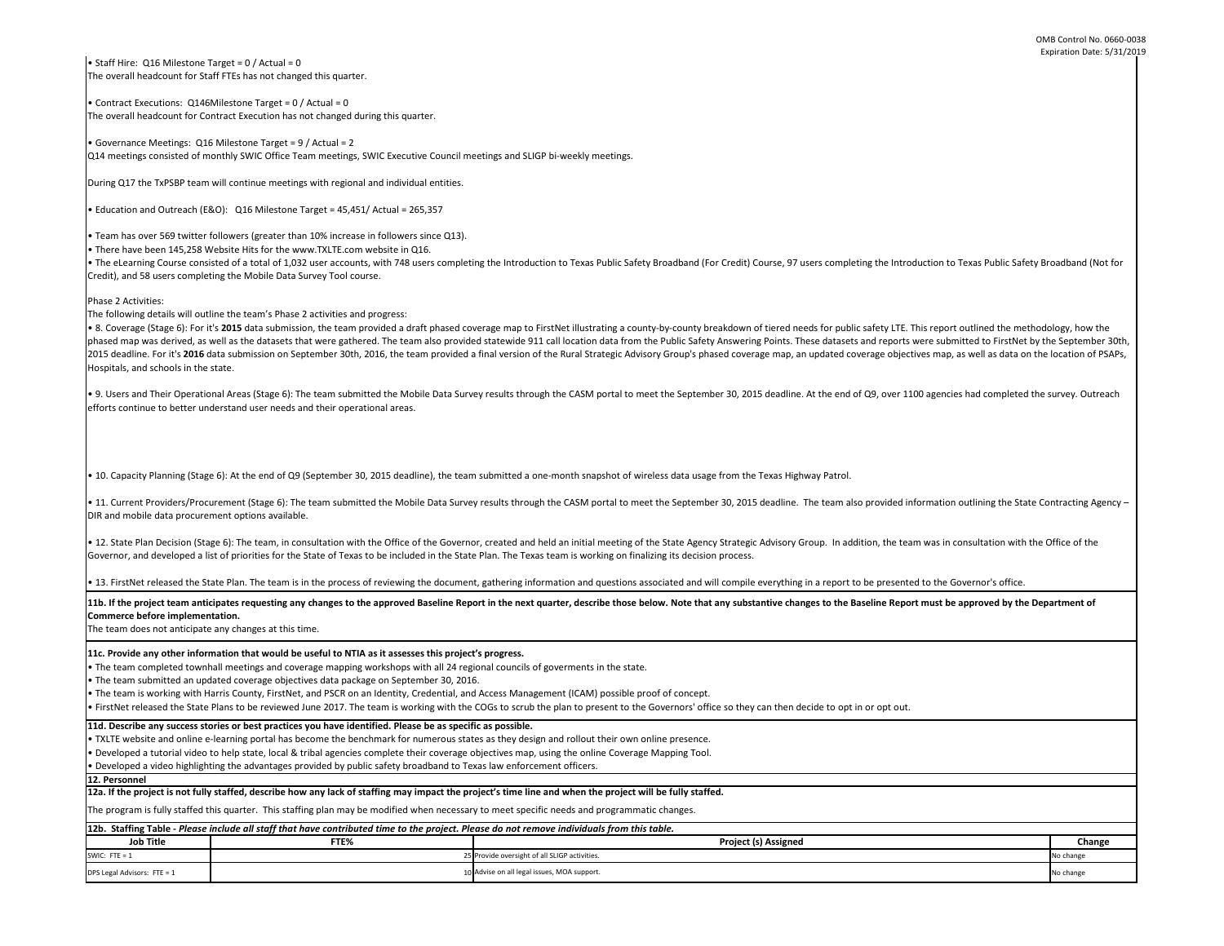• Staff Hire: Q16 Milestone Target =  $0/$  Actual = 0 The overall headcount for Staff FTEs has not changed this quarter.

• The team is working with Harris County, FirstNet, and PSCR on an Identity, Credential, and Access Management (ICAM) possible proof of concept.

• Contract Executions: Q146Milestone Target = 0 / Actual = 0 The overall headcount for Contract Execution has not changed during this quarter.

• Governance Meetings: Q16 Milestone Target = 9 / Actual = 2 Q14 meetings consisted of monthly SWIC Office Team meetings, SWIC Executive Council meetings and SLIGP bi-weekly meetings.

During Q17 the TxPSBP team will continue meetings with regional and individual entities.

• Education and Outreach (E&O): Q16 Milestone Target = 45,451/ Actual = 265,357

**Job Title FTE% Change**  SWIC: FTE = 1 25 Provide oversight of all SLIGP activities. No change and SLIGP activities and SLIGP activities. DPS Legal Advisors: FTE = 1 10 Advise on all legal issues, MOA support. No change on all legal issues, MOA support. Provide oversight of all SLIGP activities. 11b. If the project team anticipates requesting any changes to the approved Baseline Report in the next quarter, describe those below. Note that any substantive changes to the Baseline Report must be approved by the Depart **Commerce before implementation.**  The team does not anticipate any changes at this time. • TXLTE website and online e-learning portal has become the benchmark for numerous states as they design and rollout their own online presence. • Developed a tutorial video to help state, local & tribal agencies complete their coverage objectives map, using the online Coverage Mapping Tool. • Developed a video highlighting the advantages provided by public safety broadband to Texas law enforcement officers. **11d. Describe any success stories or best practices you have identified. Please be as specific as possible. 11c. Provide any other information that would be useful to NTIA as it assesses this project's progress.**  • The team completed townhall meetings and coverage mapping workshops with all 24 regional councils of goverments in the state. • The team submitted an updated coverage objectives data package on September 30, 2016. • FirstNet released the State Plans to be reviewed June 2017. The team is working with the COGs to scrub the plan to present to the Governors' office so they can then decide to opt in or opt out. • Team has over 569 twitter followers (greater than 10% increase in followers since Q13). • There have been 145,258 Website Hits for the www.TXLTE.com website in Q16. • The eLearning Course consisted of a total of 1,032 user accounts, with 748 users completing the Introduction to Texas Public Safety Broadband (For Credit) Course, 97 users completing the Introduction to Texas Public Safe Credit), and 58 users completing the Mobile Data Survey Tool course. Phase 2 Activities: The following details will outline the team's Phase 2 activities and progress: • 8. Coverage (Stage 6): For it's 2015 data submission, the team provided a draft phased coverage map to FirstNet illustrating a county-by-county breakdown of tiered needs for public safety LTE. This report outlined the me phased map was derived, as well as the datasets that were gathered. The team also provided statewide 911 call location data from the Public Safety Answering Points. These datasets and reports were submitted to FirstNet by 2015 deadline. For it's 2016 data submission on September 30th, 2016, the team provided a final version of the Rural Strategic Advisory Group's phased coverage map, an updated coverage objectives map, as well as data on th Hospitals, and schools in the state. • 9. Users and Their Operational Areas (Stage 6): The team submitted the Mobile Data Survey results through the CASM portal to meet the September 30, 2015 deadline. At the end of Q9, over 1100 agencies had completed the su efforts continue to better understand user needs and their operational areas. • 10. Capacity Planning (Stage 6): At the end of Q9 (September 30, 2015 deadline), the team submitted a one-month snapshot of wireless data usage from the Texas Highway Patrol. • 11. Current Providers/Procurement (Stage 6): The team submitted the Mobile Data Survey results through the CASM portal to meet the September 30, 2015 deadline. The team also provided information outlining the State Contr DIR and mobile data procurement options available. • 12. State Plan Decision (Stage 6): The team, in consultation with the Office of the Governor, created and held an initial meeting of the State Agency Strategic Advisory Group. In addition, the team was in consultation wi Governor, and developed a list of priorities for the State of Texas to be included in the State Plan. The Texas team is working on finalizing its decision process. • 13. FirstNet released the State Plan. The team is in the process of reviewing the document, gathering information and questions associated and will compile everything in a report to be presented to the Governor's office. **igned** The program is fully staffed this quarter. This staffing plan may be modified when necessary to meet specific needs and programmatic changes. **12a. If the project is not fully staffed, describe how any lack of staffing may impact the project's time line and when the project will be fully staffed. 12. Personnel** 

| 12b. Staffing Table - Please include all staff that have contributed time to the project. Please do not remove individuals from this table. |      |                                               |  |  |  |
|---------------------------------------------------------------------------------------------------------------------------------------------|------|-----------------------------------------------|--|--|--|
| <b>Job Title</b>                                                                                                                            | FTE% | <b>Project (s) Assi</b>                       |  |  |  |
| SWIC: FTE = $1$                                                                                                                             |      | 25 Provide oversight of all SLIGP activities. |  |  |  |
| DPS Legal Advisors: FTE = $1$                                                                                                               |      | 10 Advise on all legal issues, MOA support.   |  |  |  |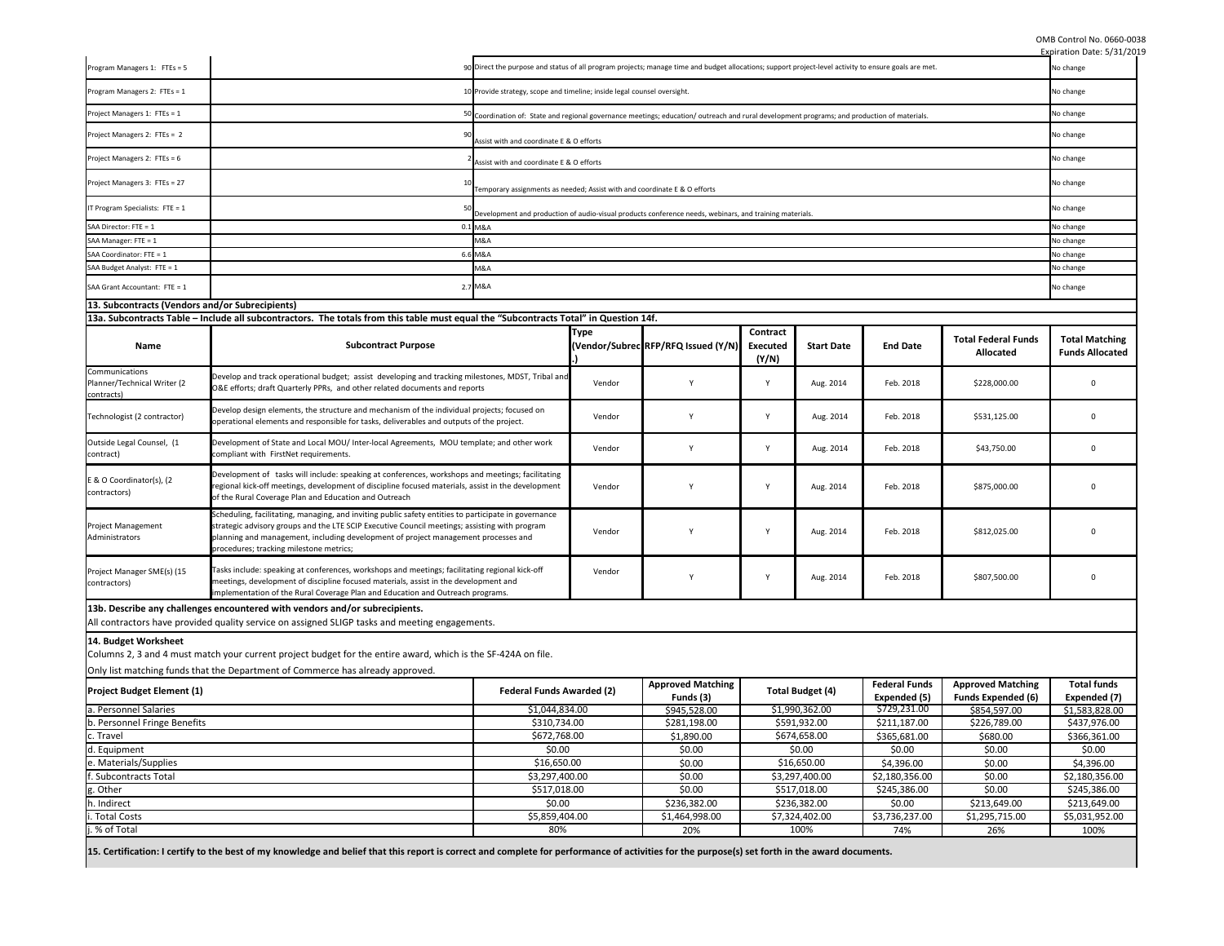OMB Control No. 0660-0038

|                                                             |                                                                                                                                                                                                                                                                                                                                        |                                                                                                                                                       |              |                                                                                                                                             |                                             |                         |                                      |                                                       | Expiration Date: 5/31/2019                      |
|-------------------------------------------------------------|----------------------------------------------------------------------------------------------------------------------------------------------------------------------------------------------------------------------------------------------------------------------------------------------------------------------------------------|-------------------------------------------------------------------------------------------------------------------------------------------------------|--------------|---------------------------------------------------------------------------------------------------------------------------------------------|---------------------------------------------|-------------------------|--------------------------------------|-------------------------------------------------------|-------------------------------------------------|
| Program Managers 1: FTEs = 5                                |                                                                                                                                                                                                                                                                                                                                        | 90 Direct the purpose and status of all program projects; manage time and budget allocations; support project-level activity to ensure goals are met. |              |                                                                                                                                             |                                             |                         | No change                            |                                                       |                                                 |
| Program Managers 2: FTEs = 1                                |                                                                                                                                                                                                                                                                                                                                        | 10 Provide strategy, scope and timeline; inside legal counsel oversight.                                                                              |              |                                                                                                                                             |                                             | No change               |                                      |                                                       |                                                 |
| Project Managers 1: FTEs = 1                                |                                                                                                                                                                                                                                                                                                                                        |                                                                                                                                                       |              | 50 Coordination of: State and regional governance meetings; education/outreach and rural development programs; and production of materials. |                                             |                         |                                      |                                                       |                                                 |
| Project Managers 2: FTEs = 2                                | ٩ſ                                                                                                                                                                                                                                                                                                                                     | Assist with and coordinate E & O efforts                                                                                                              |              |                                                                                                                                             |                                             |                         | No change                            |                                                       |                                                 |
| Project Managers 2: FTEs = 6                                |                                                                                                                                                                                                                                                                                                                                        | Assist with and coordinate E & O efforts                                                                                                              |              |                                                                                                                                             |                                             |                         |                                      |                                                       | No change                                       |
| Project Managers 3: FTEs = 27                               |                                                                                                                                                                                                                                                                                                                                        | Temporary assignments as needed; Assist with and coordinate E & O efforts                                                                             |              |                                                                                                                                             |                                             |                         |                                      |                                                       | No change                                       |
| IT Program Specialists: FTE = $1$                           |                                                                                                                                                                                                                                                                                                                                        |                                                                                                                                                       |              | Development and production of audio-visual products conference needs, webinars, and training materials.                                     |                                             |                         |                                      |                                                       | No change                                       |
| SAA Director: FTE = 1                                       |                                                                                                                                                                                                                                                                                                                                        | 0.1 M&A                                                                                                                                               |              |                                                                                                                                             |                                             |                         |                                      |                                                       | No change                                       |
| SAA Manager: FTE = 1                                        |                                                                                                                                                                                                                                                                                                                                        | M&A                                                                                                                                                   |              |                                                                                                                                             |                                             |                         |                                      |                                                       | No change                                       |
| SAA Coordinator: FTE = 1                                    |                                                                                                                                                                                                                                                                                                                                        | 6.6 M&A                                                                                                                                               |              |                                                                                                                                             |                                             |                         |                                      |                                                       | No change                                       |
| SAA Budget Analyst: FTE = 1                                 |                                                                                                                                                                                                                                                                                                                                        | M&A                                                                                                                                                   |              |                                                                                                                                             |                                             |                         |                                      |                                                       | No change                                       |
| SAA Grant Accountant: FTE = 1                               |                                                                                                                                                                                                                                                                                                                                        | 2.7 M&A                                                                                                                                               |              |                                                                                                                                             |                                             |                         |                                      |                                                       | No change                                       |
| 13. Subcontracts (Vendors and/or Subrecipients)             |                                                                                                                                                                                                                                                                                                                                        |                                                                                                                                                       |              |                                                                                                                                             |                                             |                         |                                      |                                                       |                                                 |
|                                                             | 13a. Subcontracts Table – Include all subcontractors. The totals from this table must equal the "Subcontracts Total" in Question 14f.                                                                                                                                                                                                  |                                                                                                                                                       |              |                                                                                                                                             |                                             |                         |                                      |                                                       |                                                 |
| <b>Name</b>                                                 | <b>Subcontract Purpose</b>                                                                                                                                                                                                                                                                                                             |                                                                                                                                                       | <b>Type</b>  | (Vendor/Subrec RFP/RFQ Issued (Y/N)                                                                                                         | <b>Contract</b><br><b>Executed</b><br>(Y/N) | <b>Start Date</b>       | <b>End Date</b>                      | <b>Total Federal Funds</b><br><b>Allocated</b>        | <b>Total Matching</b><br><b>Funds Allocated</b> |
| Communications<br>Planner/Technical Writer (2<br>contracts) | Develop and track operational budget; assist developing and tracking milestones, MDST, Tribal and<br>O&E efforts; draft Quarterly PPRs, and other related documents and reports                                                                                                                                                        |                                                                                                                                                       | Vendor       |                                                                                                                                             | Y                                           | Aug. 2014               | Feb. 2018                            | \$228,000.00                                          | $\Omega$                                        |
| Technologist (2 contractor)                                 | Develop design elements, the structure and mechanism of the individual projects; focused on<br>operational elements and responsible for tasks, deliverables and outputs of the project.                                                                                                                                                |                                                                                                                                                       | Vendor       | Y                                                                                                                                           | $\mathsf{Y}$                                | Aug. 2014               | Feb. 2018                            | \$531,125.00                                          | 0                                               |
| Outside Legal Counsel, (1<br>contract)                      | Development of State and Local MOU/ Inter-local Agreements, MOU template; and other work<br>compliant with FirstNet requirements.                                                                                                                                                                                                      |                                                                                                                                                       | Vendor       |                                                                                                                                             | $\mathsf{Y}$                                | Aug. 2014               | Feb. 2018                            | \$43,750.00                                           | $\Omega$                                        |
| E & O Coordinator(s), (2<br>contractors)                    | Development of tasks will include: speaking at conferences, workshops and meetings; facilitating<br>regional kick-off meetings, development of discipline focused materials, assist in the development<br>of the Rural Coverage Plan and Education and Outreach                                                                        |                                                                                                                                                       | Vendor       |                                                                                                                                             | $\mathsf{v}$                                | Aug. 2014               | Feb. 2018                            | \$875,000.00                                          | $\Omega$                                        |
| Project Management<br>Administrators                        | Scheduling, facilitating, managing, and inviting public safety entities to participate in governance<br>strategic advisory groups and the LTE SCIP Executive Council meetings; assisting with program<br>planning and management, including development of project management processes and<br>procedures; tracking milestone metrics; |                                                                                                                                                       | Vendor       |                                                                                                                                             | <b>Y</b>                                    | Aug. 2014               | Feb. 2018                            | \$812,025.00                                          | $\Omega$                                        |
| Project Manager SME(s) (15<br>contractors)                  | Tasks include: speaking at conferences, workshops and meetings; facilitating regional kick-off<br>meetings, development of discipline focused materials, assist in the development and<br>implementation of the Rural Coverage Plan and Education and Outreach programs.                                                               |                                                                                                                                                       | Vendor       |                                                                                                                                             | $\mathbf v$                                 | Aug. 2014               | Feb. 2018                            | \$807,500.00                                          | $\Omega$                                        |
|                                                             | 13b. Describe any challenges encountered with vendors and/or subrecipients.                                                                                                                                                                                                                                                            |                                                                                                                                                       |              |                                                                                                                                             |                                             |                         |                                      |                                                       |                                                 |
|                                                             | All contractors have provided quality service on assigned SLIGP tasks and meeting engagements.                                                                                                                                                                                                                                         |                                                                                                                                                       |              |                                                                                                                                             |                                             |                         |                                      |                                                       |                                                 |
| 14. Budget Worksheet                                        | Columns 2, 3 and 4 must match your current project budget for the entire award, which is the SF-424A on file.                                                                                                                                                                                                                          |                                                                                                                                                       |              |                                                                                                                                             |                                             |                         |                                      |                                                       |                                                 |
|                                                             | Only list matching funds that the Department of Commerce has already approved.                                                                                                                                                                                                                                                         |                                                                                                                                                       |              |                                                                                                                                             |                                             |                         |                                      |                                                       |                                                 |
| <b>Project Budget Element (1)</b>                           | <b>Federal Funds Awarded (2)</b>                                                                                                                                                                                                                                                                                                       |                                                                                                                                                       |              | <b>Approved Matching</b><br>Funds (3)                                                                                                       |                                             | <b>Total Budget (4)</b> | <b>Federal Funds</b><br>Expended (5) | <b>Approved Matching</b><br><b>Funds Expended (6)</b> | <b>Total funds</b><br>Expended (7)              |
| a. Personnel Salaries<br>\$1,044,834.00                     |                                                                                                                                                                                                                                                                                                                                        |                                                                                                                                                       | \$945,528.00 |                                                                                                                                             | \$1,990,362.00                              | \$729,231.00            | \$854,597.00                         | \$1,583,828.00                                        |                                                 |
|                                                             | b. Personnel Fringe Benefits<br>\$310,734.00                                                                                                                                                                                                                                                                                           |                                                                                                                                                       |              | \$281,198.00                                                                                                                                |                                             |                         | \$211,187.00                         | \$226,789.00                                          | \$437,976.00                                    |
| c. Travel                                                   | \$672,768.00                                                                                                                                                                                                                                                                                                                           |                                                                                                                                                       |              | \$1,890.00                                                                                                                                  | \$591,932.00<br>\$674,658.00                |                         | \$365,681.00                         | \$680.00                                              | \$366,361.00                                    |
| \$0.00<br>d. Equipment                                      |                                                                                                                                                                                                                                                                                                                                        |                                                                                                                                                       | \$0.00       |                                                                                                                                             |                                             | \$0.00                  | \$0.00                               | \$0.00                                                |                                                 |
| e. Materials/Supplies                                       | \$16,650.00                                                                                                                                                                                                                                                                                                                            |                                                                                                                                                       |              | \$0.00                                                                                                                                      | \$0.00                                      |                         | \$4,396.00                           | \$0.00                                                | \$4,396.00                                      |
|                                                             |                                                                                                                                                                                                                                                                                                                                        |                                                                                                                                                       |              |                                                                                                                                             | \$16,650.00<br>\$3,297,400.00               |                         |                                      |                                                       |                                                 |
| f. Subcontracts Total                                       | \$3,297,400.00                                                                                                                                                                                                                                                                                                                         |                                                                                                                                                       |              | \$0.00                                                                                                                                      |                                             |                         | \$2,180,356.00                       | \$0.00                                                | \$2,180,356.00                                  |
| g. Other                                                    | \$517,018.00                                                                                                                                                                                                                                                                                                                           |                                                                                                                                                       |              | \$0.00                                                                                                                                      |                                             | \$517,018.00            | \$245,386.00                         | \$0.00                                                | \$245,386.00                                    |
| h. Indirect                                                 |                                                                                                                                                                                                                                                                                                                                        | \$0.00                                                                                                                                                |              | \$236,382.00                                                                                                                                |                                             | \$236,382.00            | \$0.00                               | \$213,649.00                                          | \$213,649.00                                    |
| i. Total Costs                                              |                                                                                                                                                                                                                                                                                                                                        | \$5,859,404.00                                                                                                                                        |              | \$1,464,998.00                                                                                                                              |                                             | \$7,324,402.00          | \$3,736,237.00                       | \$1,295,715.00                                        | \$5,031,952.00                                  |
| j. % of Total                                               |                                                                                                                                                                                                                                                                                                                                        | 80%                                                                                                                                                   |              | 20%                                                                                                                                         |                                             | 100%                    | 74%                                  | 26%                                                   | 100%                                            |
|                                                             | 15. Certification: I certify to the best of my knowledge and belief that this report is correct and complete for performance of activities for the purpose(s) set forth in the award documents.                                                                                                                                        |                                                                                                                                                       |              |                                                                                                                                             |                                             |                         |                                      |                                                       |                                                 |